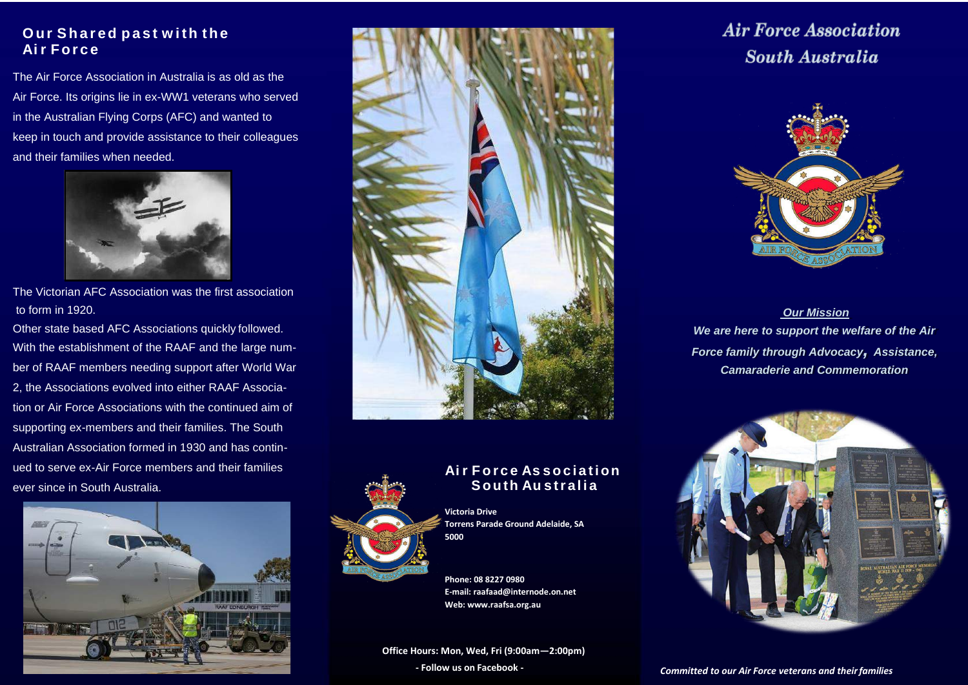### **Our Sha r ed pa s t w ith the Ai r For c e**

The Air Force Association in Australia is as old as the Air Force. Its origins lie in ex-WW1 veterans who served in the Australian Flying Corps (AFC) and wanted to keep in touch and provide assistance to their colleagues and their families when needed.



The Victorian AFC Association was the first association to form in 1920.

Other state based AFC Associations quickly followed. With the establishment of the RAAF and the large number of RAAF members needing support after World War 2, the Associations evolved into either RAAF Association or Air Force Associations with the continued aim of supporting ex-members and their families. The South Australian Association formed in 1930 and has continued to serve ex-Air Force members and their families ever since in South Australia.







### **Ai r F o r c e As so c i a tion South Au s tr a l i a**

**Victoria Drive Torrens Parade Ground Adelaide, SA 5000**

**Phone: 08 8227 0980 E-mail[: raafaad@internode.on.net](mailto:raafaad@internode.on.net) Web[: www.raafsa.org.au](http://www.raafsa.org.au/)**

**Office Hours: Mon, Wed, Fri (9:00am—2:00pm)**

## **Air Force Association South Australia**



*Our Mission We are here to support the welfare of the Air Force family through Advocacy, Assistance, Camaraderie and Commemoration*



**- Follow us on Facebook -** *Committed to our Air Force veterans and theirfamilies*